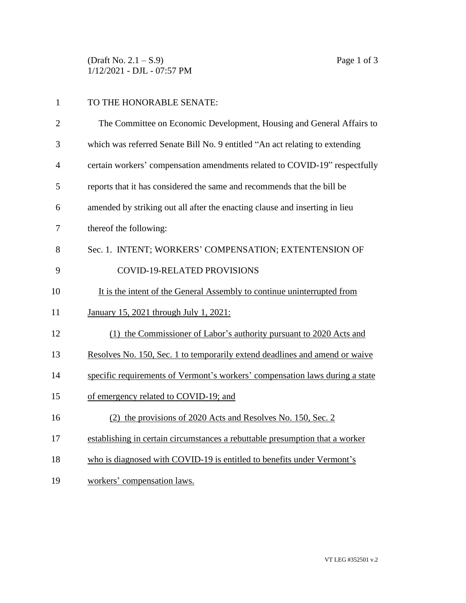$(\text{Draft No. 2.1} - S.9)$  Page 1 of 3 1/12/2021 - DJL - 07:57 PM

|                | TO THE HONORABLE SENATE:                                                    |
|----------------|-----------------------------------------------------------------------------|
| 2              | The Committee on Economic Development, Housing and General Affairs to       |
| 3              | which was referred Senate Bill No. 9 entitled "An act relating to extending |
| $\overline{4}$ | certain workers' compensation amendments related to COVID-19" respectfully  |

- reports that it has considered the same and recommends that the bill be
- amended by striking out all after the enacting clause and inserting in lieu
- thereof the following:
- Sec. 1. INTENT; WORKERS' COMPENSATION; EXTENTENSION OF 9 COVID-19-RELATED PROVISIONS
- 10 It is the intent of the General Assembly to continue uninterrupted from
- January 15, 2021 through July 1, 2021:
- (1) the Commissioner of Labor's authority pursuant to 2020 Acts and
- Resolves No. 150, Sec. 1 to temporarily extend deadlines and amend or waive
- specific requirements of Vermont's workers' compensation laws during a state
- of emergency related to COVID-19; and
- (2) the provisions of 2020 Acts and Resolves No. 150, Sec. 2
- establishing in certain circumstances a rebuttable presumption that a worker
- 18 who is diagnosed with COVID-19 is entitled to benefits under Vermont's
- workers' compensation laws.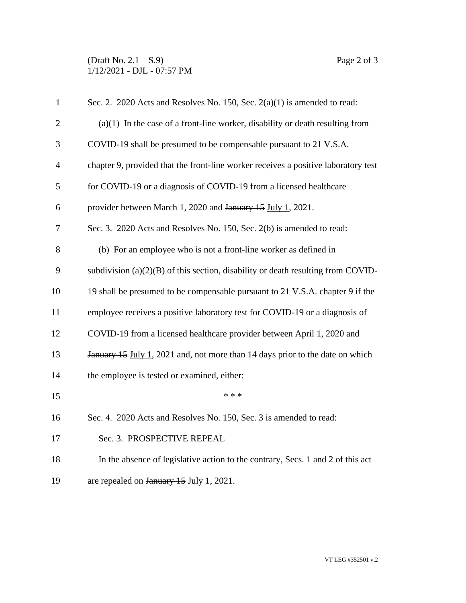## (Draft No.  $2.1 - S.9$ ) Page 2 of 3 1/12/2021 - DJL - 07:57 PM

| $\mathbf{1}$   | Sec. 2. 2020 Acts and Resolves No. 150, Sec. $2(a)(1)$ is amended to read:         |
|----------------|------------------------------------------------------------------------------------|
| $\overline{2}$ | $(a)(1)$ In the case of a front-line worker, disability or death resulting from    |
| 3              | COVID-19 shall be presumed to be compensable pursuant to 21 V.S.A.                 |
| $\overline{4}$ | chapter 9, provided that the front-line worker receives a positive laboratory test |
| 5              | for COVID-19 or a diagnosis of COVID-19 from a licensed healthcare                 |
| 6              | provider between March 1, 2020 and January 15 July 1, 2021.                        |
| 7              | Sec. 3. 2020 Acts and Resolves No. 150, Sec. 2(b) is amended to read:              |
| 8              | (b) For an employee who is not a front-line worker as defined in                   |
| 9              | subdivision $(a)(2)(B)$ of this section, disability or death resulting from COVID- |
| 10             | 19 shall be presumed to be compensable pursuant to 21 V.S.A. chapter 9 if the      |
| 11             | employee receives a positive laboratory test for COVID-19 or a diagnosis of        |
| 12             | COVID-19 from a licensed healthcare provider between April 1, 2020 and             |
| 13             | January 15 July 1, 2021 and, not more than 14 days prior to the date on which      |
| 14             | the employee is tested or examined, either:                                        |
| 15             | * * *                                                                              |
| 16             | Sec. 4. 2020 Acts and Resolves No. 150, Sec. 3 is amended to read:                 |
| 17             | Sec. 3. PROSPECTIVE REPEAL                                                         |
| 18             | In the absence of legislative action to the contrary, Secs. 1 and 2 of this act    |
| 19             | are repealed on January 15 July 1, 2021.                                           |